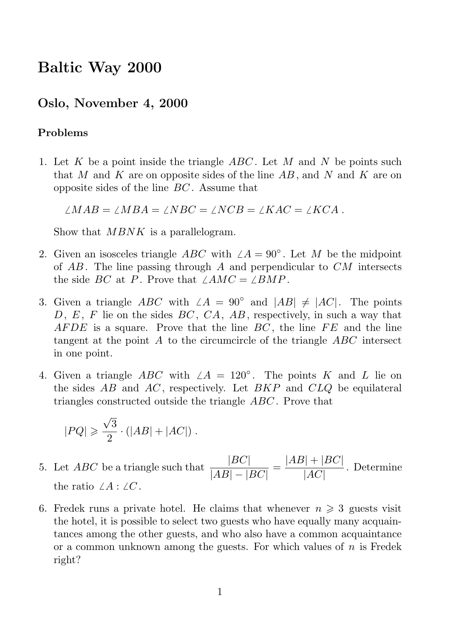# Baltic Way 2000

# Oslo, November 4, 2000

# Problems

1. Let K be a point inside the triangle  $ABC$ . Let M and N be points such that M and K are on opposite sides of the line  $AB$ , and N and K are on opposite sides of the line BC . Assume that

 $/MAB = /MBA = /NBC = /NCB = /KAC = /KCA$ .

Show that  $MBNK$  is a parallelogram.

- 2. Given an isosceles triangle ABC with  $\angle A = 90^\circ$ . Let M be the midpoint of  $AB$ . The line passing through A and perpendicular to  $CM$  intersects the side BC at P. Prove that  $\angle AMC = \angle BMP$ .
- 3. Given a triangle ABC with  $\angle A = 90^\circ$  and  $|AB| \neq |AC|$ . The points D, E, F lie on the sides  $BC$ ,  $CA$ ,  $AB$ , respectively, in such a way that AFDE is a square. Prove that the line  $BC$ , the line  $FE$  and the line tangent at the point A to the circumcircle of the triangle  $ABC$  intersect in one point.
- 4. Given a triangle ABC with  $\angle A = 120^\circ$ . The points K and L lie on the sides  $AB$  and  $AC$ , respectively. Let  $BKP$  and  $CLQ$  be equilateral triangles constructed outside the triangle ABC . Prove that

$$
|PQ| \geqslant \frac{\sqrt{3}}{2} \cdot \left(|AB| + |AC|\right) \, .
$$

- 5. Let  $ABC$  be a triangle such that  $\frac{|BC|}{|AD|}$  $\frac{|BC|}{|AB| - |BC|} = \frac{|AB| + |BC|}{|AC|}$  $\frac{|A|}{|AC|}$ . Determine the ratio  $\angle A : \angle C$ .
- 6. Fredek runs a private hotel. He claims that whenever  $n \geq 3$  guests visit the hotel, it is possible to select two guests who have equally many acquaintances among the other guests, and who also have a common acquaintance or a common unknown among the guests. For which values of  $n$  is Fredek right?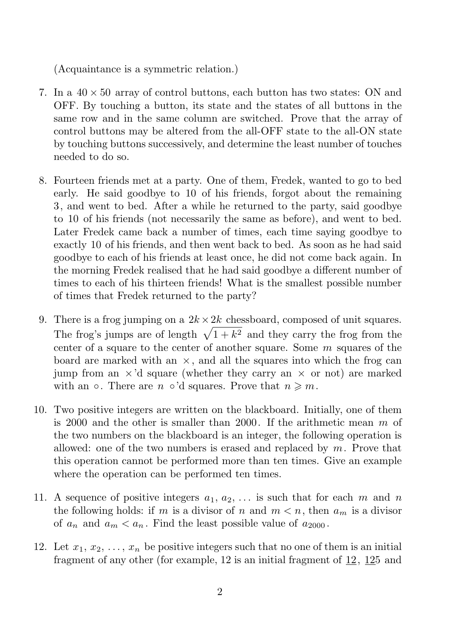(Acquaintance is a symmetric relation.)

- 7. In a  $40 \times 50$  array of control buttons, each button has two states: ON and OFF. By touching a button, its state and the states of all buttons in the same row and in the same column are switched. Prove that the array of control buttons may be altered from the all-OFF state to the all-ON state by touching buttons successively, and determine the least number of touches needed to do so.
- 8. Fourteen friends met at a party. One of them, Fredek, wanted to go to bed early. He said goodbye to 10 of his friends, forgot about the remaining 3, and went to bed. After a while he returned to the party, said goodbye to 10 of his friends (not necessarily the same as before), and went to bed. Later Fredek came back a number of times, each time saying goodbye to exactly 10 of his friends, and then went back to bed. As soon as he had said goodbye to each of his friends at least once, he did not come back again. In the morning Fredek realised that he had said goodbye a different number of times to each of his thirteen friends! What is the smallest possible number of times that Fredek returned to the party?
- 9. There is a frog jumping on a  $2k \times 2k$  chessboard, composed of unit squares. The frog's jumps are of length  $\sqrt{1 + k^2}$  and they carry the frog from the center of a square to the center of another square. Some m squares of the board are marked with an  $\times$ , and all the squares into which the frog can jump from an  $\times$ 'd square (whether they carry an  $\times$  or not) are marked with an  $\circ$ . There are  $n \circ 'd$  squares. Prove that  $n \geq n$ .
- 10. Two positive integers are written on the blackboard. Initially, one of them is 2000 and the other is smaller than 2000. If the arithmetic mean m of the two numbers on the blackboard is an integer, the following operation is allowed: one of the two numbers is erased and replaced by  $m$ . Prove that this operation cannot be performed more than ten times. Give an example where the operation can be performed ten times.
- 11. A sequence of positive integers  $a_1, a_2, \ldots$  is such that for each m and n the following holds: if m is a divisor of n and  $m < n$ , then  $a_m$  is a divisor of  $a_n$  and  $a_m < a_n$ . Find the least possible value of  $a_{2000}$ .
- 12. Let  $x_1, x_2, \ldots, x_n$  be positive integers such that no one of them is an initial fragment of any other (for example, 12 is an initial fragment of  $12$ ,  $125$  and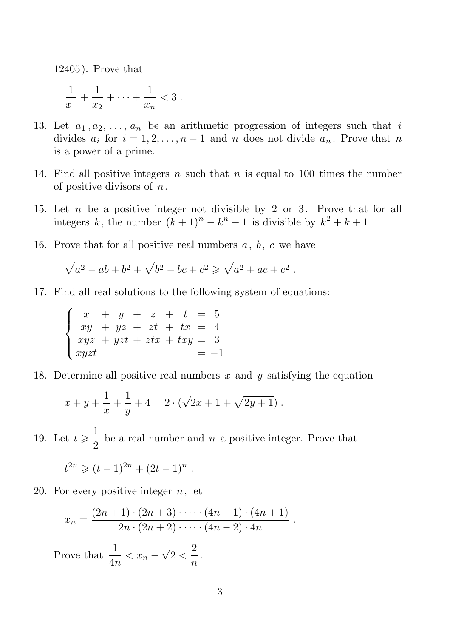12405). Prove that

$$
\frac{1}{x_1} + \frac{1}{x_2} + \dots + \frac{1}{x_n} < 3 \; .
$$

- 13. Let  $a_1, a_2, \ldots, a_n$  be an arithmetic progression of integers such that i divides  $a_i$  for  $i = 1, 2, ..., n-1$  and n does not divide  $a_n$ . Prove that n is a power of a prime.
- 14. Find all positive integers n such that n is equal to 100 times the number of positive divisors of  $n$ .
- 15. Let  $n$  be a positive integer not divisible by 2 or 3. Prove that for all integers k, the number  $(k+1)^n - k^n - 1$  is divisible by  $k^2 + k + 1$ .
- 16. Prove that for all positive real numbers  $a, b, c$  we have

$$
\sqrt{a^2 - ab + b^2} + \sqrt{b^2 - bc + c^2} \ge \sqrt{a^2 + ac + c^2}.
$$

17. Find all real solutions to the following system of equations:

 $\sqrt{ }$  $\int$  $\overline{a}$  $x + y + z + t = 5$  $xy + yz + zt + tx = 4$  $xyz + yzt + ztx + txy = 3$  $xyzt = -1$ 

18. Determine all positive real numbers  $x$  and  $y$  satisfying the equation

$$
x + y + \frac{1}{x} + \frac{1}{y} + 4 = 2 \cdot (\sqrt{2x + 1} + \sqrt{2y + 1}).
$$

19. Let  $t \geqslant \frac{1}{2}$  $\frac{1}{2}$  be a real number and *n* a positive integer. Prove that

$$
t^{2n} \geqslant (t-1)^{2n} + (2t-1)^n.
$$

20. For every positive integer  $n$ , let

$$
x_n = \frac{(2n+1)\cdot(2n+3)\cdot\cdots\cdot(4n-1)\cdot(4n+1)}{2n\cdot(2n+2)\cdot\cdots\cdot(4n-2)\cdot4n}.
$$

Prove that  $\frac{1}{4n} < x_n - \sqrt{2} < \frac{2}{n}$  $\frac{1}{n}$ .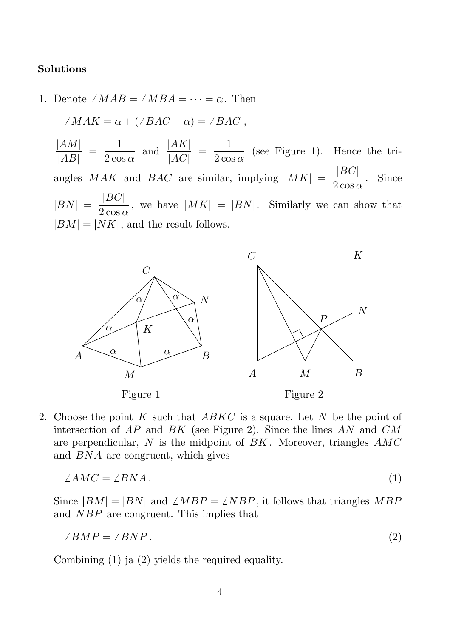# Solutions

1. Denote  $\angle MAB = \angle MBA = \cdots = \alpha$ . Then

 $(MAK \rightarrow UDAC \rightarrow DAO$ 

$$
\angle MAN = \alpha + (\angle BAC - \alpha) = \angle BAC,
$$
  

$$
\frac{|AM|}{|AM|} = \frac{1}{\sqrt{MN}} \quad \text{and} \quad \frac{|AK|}{|AM|} = \frac{1}{\sqrt{MN}} \quad \text{(see Figure)}
$$

 $\frac{|AM|}{|AB|} = \frac{1}{2 \cos \theta}$  $rac{1}{2 \cos \alpha}$  and  $rac{|AK|}{|AC|}$  $\frac{|AK|}{|AC|} = \frac{1}{2 \cos \theta}$  $\frac{1}{2 \cos \alpha}$  (see Figure 1). Hence the triangles MAK and BAC are similar, implying  $|MK| = \frac{|BC|}{2 \cos \theta}$  $\frac{2 \cos \alpha}{2 \cos \alpha}$ . Since  $|BN| = \frac{|BC|}{2\cos \theta}$  $\frac{1280}{2 \cos \alpha}$ , we have  $|MK| = |BN|$ . Similarly we can show that  $|BM| = |NK|$ , and the result follows.



2. Choose the point K such that  $ABKC$  is a square. Let N be the point of intersection of  $AP$  and  $BK$  (see Figure 2). Since the lines  $AN$  and  $CM$ are perpendicular,  $N$  is the midpoint of  $BK$ . Moreover, triangles  $AMC$ and BNA are congruent, which gives

$$
\angle AMC = \angle BNA. \tag{1}
$$

Since  $|BM| = |BN|$  and  $\angle MBP = \angle NBP$ , it follows that triangles MBP and NBP are congruent. This implies that

$$
\angle BMP = \angle BNP. \tag{2}
$$

Combining (1) ja (2) yields the required equality.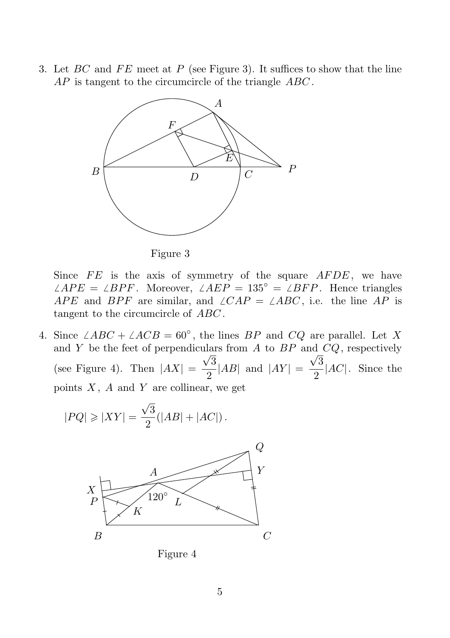3. Let  $BC$  and  $FE$  meet at P (see Figure 3). It suffices to show that the line AP is tangent to the circumcircle of the triangle ABC.



Figure 3

Since  $FE$  is the axis of symmetry of the square  $AFDE$ , we have  $\angle APE = \angle BPF$ . Moreover,  $\angle AEP = 135^\circ = \angle BFP$ . Hence triangles APE and BPF are similar, and  $\angle CAP = \angle ABC$ , i.e. the line AP is tangent to the circumcircle of ABC.

4. Since  $\angle ABC + \angle ACB = 60^\circ$ , the lines BP and CQ are parallel. Let X and  $Y$  be the feet of perpendiculars from  $A$  to  $BP$  and  $CQ$ , respectively (see Figure 4). Then  $|AX|$  =  $\sqrt{3}$  $\frac{1}{2}$ |AB| and  $|AY|$  =  $\sqrt{3}$  $\frac{1}{2}$ |AC|. Since the points  $X$ ,  $A$  and  $Y$  are collinear, we get

$$
|PQ| \geqslant |XY| = \frac{\sqrt{3}}{2}(|AB|+|AC|)\,.
$$



Figure 4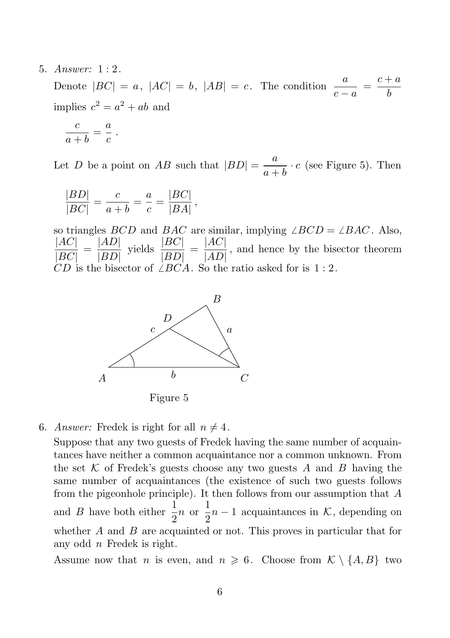#### 5. Answer: 1 : 2.

Denote  $|BC| = a$ ,  $|AC| = b$ ,  $|AB| = c$ . The condition  $\frac{a}{c-a} = \frac{c+a}{b}$ b implies  $c^2 = a^2 + ab$  and

$$
\frac{c}{a+b} = \frac{a}{c} \; .
$$

Let D be a point on AB such that  $|BD| = \frac{a}{a+b}$  $\frac{a}{a+b} \cdot c$  (see Figure 5). Then

$$
\frac{|BD|}{|BC|} = \frac{c}{a+b} = \frac{a}{c} = \frac{|BC|}{|BA|},
$$

so triangles *BCD* and *BAC* are similar, implying  $\angle BCD = \angle BAC$ . Also,  $|AC|$  $\frac{|AC|}{|BC|} = \frac{|AD|}{|BD|}$  $|BD|$ yields  $\frac{|BC|}{|BD|}$  $\frac{|BC|}{|BD|} = \frac{|AC|}{|AD|}$  $\sqrt{|AD|}$ , and hence by the bisector theorem CD is the bisector of  $\angle BCA$ . So the ratio asked for is 1 : 2.



Figure 5

#### 6. Answer: Fredek is right for all  $n \neq 4$ .

Suppose that any two guests of Fredek having the same number of acquaintances have neither a common acquaintance nor a common unknown. From the set K of Fredek's guests choose any two guests A and B having the same number of acquaintances (the existence of such two guests follows from the pigeonhole principle). It then follows from our assumption that A and *B* have both either  $\frac{1}{2}n$  or  $\frac{1}{2}$  $\frac{1}{2}n-1$  acquaintances in K, depending on whether  $A$  and  $B$  are acquainted or not. This proves in particular that for any odd  $n$  Fredek is right.

Assume now that *n* is even, and  $n \geq 6$ . Choose from  $\mathcal{K} \setminus \{A, B\}$  two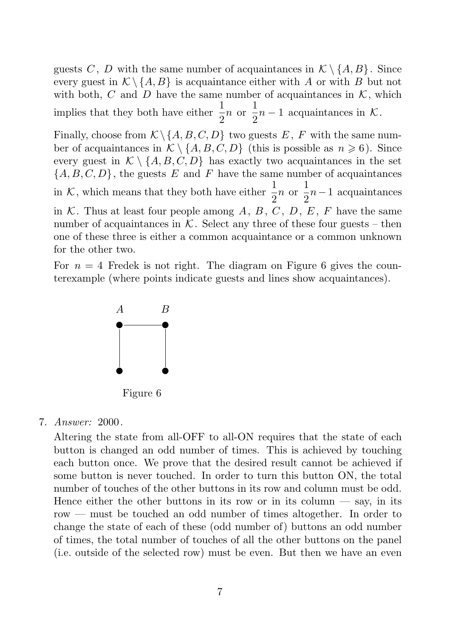guests C, D with the same number of acquaintances in  $\mathcal{K} \setminus \{A, B\}$ . Since every guest in  $\mathcal{K} \setminus \{A, B\}$  is acquaintance either with A or with B but not with both, C and D have the same number of acquaintances in  $K$ , which implies that they both have either  $\frac{1}{2}n$  or  $\frac{1}{2}$  $\frac{1}{2}n-1$  acquaintances in K.

Finally, choose from  $\mathcal{K}\backslash\{A, B, C, D\}$  two guests E, F with the same number of acquaintances in  $\mathcal{K} \setminus \{A, B, C, D\}$  (this is possible as  $n \geq 6$ ). Since every guest in  $\mathcal{K} \setminus \{A, B, C, D\}$  has exactly two acquaintances in the set  ${A, B, C, D}$ , the guests E and F have the same number of acquaintances in K, which means that they both have either  $\frac{1}{2}n$  or  $\frac{1}{2}$  $\frac{1}{2}n-1$  acquaintances in  $K$ . Thus at least four people among  $A, B, C, D, E, F$  have the same number of acquaintances in  $K$ . Select any three of these four guests – then one of these three is either a common acquaintance or a common unknown for the other two.

For  $n = 4$  Fredek is not right. The diagram on Figure 6 gives the counterexample (where points indicate guests and lines show acquaintances).



Figure 6

#### 7. Answer: 2000.

Altering the state from all-OFF to all-ON requires that the state of each button is changed an odd number of times. This is achieved by touching each button once. We prove that the desired result cannot be achieved if some button is never touched. In order to turn this button ON, the total number of touches of the other buttons in its row and column must be odd. Hence either the other buttons in its row or in its column  $-$  say, in its row — must be touched an odd number of times altogether. In order to change the state of each of these (odd number of) buttons an odd number of times, the total number of touches of all the other buttons on the panel (i.e. outside of the selected row) must be even. But then we have an even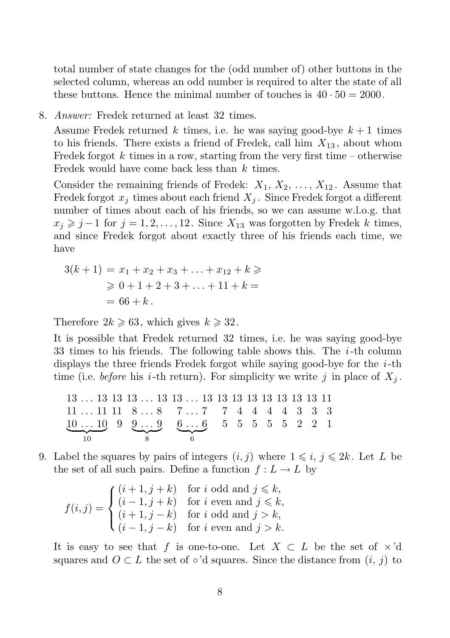total number of state changes for the (odd number of) other buttons in the selected column, whereas an odd number is required to alter the state of all these buttons. Hence the minimal number of touches is  $40 \cdot 50 = 2000$ .

8. Answer: Fredek returned at least 32 times.

Assume Fredek returned k times, i.e. he was saying good-bye  $k+1$  times to his friends. There exists a friend of Fredek, call him  $X_{13}$ , about whom Fredek forgot k times in a row, starting from the very first time – otherwise Fredek would have come back less than k times.

Consider the remaining friends of Fredek:  $X_1, X_2, \ldots, X_{12}$ . Assume that Fredek forgot  $x_j$  times about each friend  $X_j$ . Since Fredek forgot a different number of times about each of his friends, so we can assume w.l.o.g. that  $x_j \geq j-1$  for  $j = 1, 2, ..., 12$ . Since  $X_{13}$  was forgotten by Fredek k times, and since Fredek forgot about exactly three of his friends each time, we have

$$
3(k + 1) = x_1 + x_2 + x_3 + \dots + x_{12} + k \ge 0
$$
  
\n
$$
\ge 0 + 1 + 2 + 3 + \dots + 11 + k = 0
$$
  
\n
$$
= 66 + k.
$$

Therefore  $2k \ge 63$ , which gives  $k \ge 32$ .

It is possible that Fredek returned 32 times, i.e. he was saying good-bye 33 times to his friends. The following table shows this. The  $i$ -th column displays the three friends Fredek forgot while saying good-bye for the  $i$ -th time (i.e. *before* his *i*-th return). For simplicity we write j in place of  $X_j$ .

13 . . . 13 13 13 . . . 13 13 . . . 13 13 13 13 13 13 13 13 11 11 . . . 11 11 8 . . . 8 7 . . . 7 7 4 4 4 4 3 3 3 10 . . . 10 | {z } 10 9 9 . . . 9 | {z } 8 6 . . . 6 | {z } 6 5 5 5 5 5 2 2 1

9. Label the squares by pairs of integers  $(i, j)$  where  $1 \leq i, j \leq 2k$ . Let L be the set of all such pairs. Define a function  $f: L \to L$  by

$$
f(i,j) = \begin{cases} (i+1,j+k) & \text{for } i \text{ odd and } j \leq k, \\ (i-1,j+k) & \text{for } i \text{ even and } j \leq k, \\ (i+1,j-k) & \text{for } i \text{ odd and } j > k, \\ (i-1,j-k) & \text{for } i \text{ even and } j > k. \end{cases}
$$

It is easy to see that f is one-to-one. Let  $X \subset L$  be the set of  $\times$ 'd squares and  $O \subset L$  the set of ∘'d squares. Since the distance from  $(i, j)$  to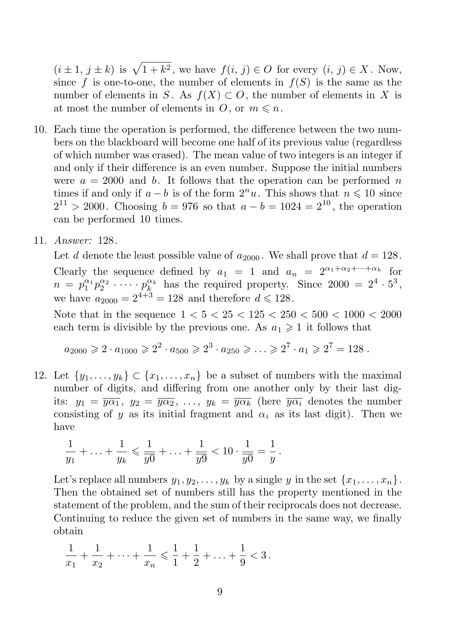$(i \pm 1, j \pm k)$  is  $\sqrt{1 + k^2}$ , we have  $f(i, j) \in O$  for every  $(i, j) \in X$ . Now, since f is one-to-one, the number of elements in  $f(S)$  is the same as the number of elements in S. As  $f(X) \subset O$ , the number of elements in X is at most the number of elements in  $O$ , or  $m \leq n$ .

- 10. Each time the operation is performed, the difference between the two numbers on the blackboard will become one half of its previous value (regardless of which number was erased). The mean value of two integers is an integer if and only if their difference is an even number. Suppose the initial numbers were  $a = 2000$  and b. It follows that the operation can be performed n times if and only if  $a - b$  is of the form  $2^n u$ . This shows that  $n \leq 10$  since  $2^{11} > 2000$ . Choosing  $b = 976$  so that  $a - b = 1024 = 2^{10}$ , the operation can be performed 10 times.
- 11. Answer: 128.

Let d denote the least possible value of  $a_{2000}$ . We shall prove that  $d = 128$ . Clearly the sequence defined by  $a_1 = 1$  and  $a_n = 2^{\alpha_1 + \alpha_2 + \cdots + \alpha_k}$  for  $n = p_1^{\alpha_1} p_2^{\alpha_2} \cdot \cdots \cdot p_k^{\alpha_k}$  has the required property. Since  $2000 = 2^4 \cdot 5^3$ , we have  $a_{2000} = 2^{4+3} = 128$  and therefore  $d \le 128$ .

Note that in the sequence  $1 < 5 < 25 < 125 < 250 < 500 < 1000 < 2000$ each term is divisible by the previous one. As  $a_1 \geq 1$  it follows that

$$
a_{2000} \ge 2 \cdot a_{1000} \ge 2^2 \cdot a_{500} \ge 2^3 \cdot a_{250} \ge \ldots \ge 2^7 \cdot a_1 \ge 2^7 = 128
$$
.

12. Let  $\{y_1, \ldots, y_k\} \subset \{x_1, \ldots, x_n\}$  be a subset of numbers with the maximal number of digits, and differing from one another only by their last digits:  $y_1 = \overline{y\alpha_1}$ ,  $y_2 = \overline{y\alpha_2}$ , ...,  $y_k = \overline{y\alpha_k}$  (here  $\overline{y\alpha_i}$  denotes the number consisting of y as its initial fragment and  $\alpha_i$  as its last digit). Then we have

$$
\frac{1}{y_1} + \ldots + \frac{1}{y_k} \leqslant \frac{1}{y_0} + \ldots + \frac{1}{y_9} < 10 \cdot \frac{1}{y_0} = \frac{1}{y} \, .
$$

Let's replace all numbers  $y_1, y_2, \ldots, y_k$  by a single y in the set  $\{x_1, \ldots, x_n\}$ . Then the obtained set of numbers still has the property mentioned in the statement of the problem, and the sum of their reciprocals does not decrease. Continuing to reduce the given set of numbers in the same way, we finally obtain

$$
\frac{1}{x_1} + \frac{1}{x_2} + \dots + \frac{1}{x_n} \leqslant \frac{1}{1} + \frac{1}{2} + \dots + \frac{1}{9} < 3 \, .
$$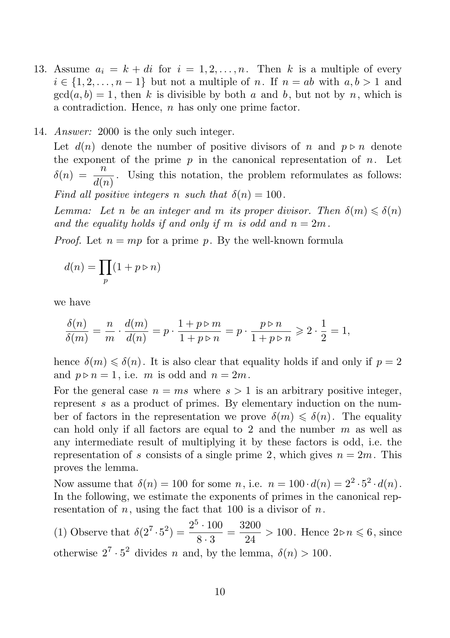13. Assume  $a_i = k + di$  for  $i = 1, 2, ..., n$ . Then k is a multiple of every  $i \in \{1, 2, \ldots, n-1\}$  but not a multiple of n. If  $n = ab$  with  $a, b > 1$  and  $gcd(a, b) = 1$ , then k is divisible by both a and b, but not by n, which is a contradiction. Hence,  $n$  has only one prime factor.

### 14. *Answer*: 2000 is the only such integer.

Let  $d(n)$  denote the number of positive divisors of n and  $p \triangleright n$  denote the exponent of the prime  $p$  in the canonical representation of  $n$ . Let  $\delta(n) = \frac{n}{\kappa}$  $\frac{n}{d(n)}$ . Using this notation, the problem reformulates as follows: Find all positive integers n such that  $\delta(n) = 100$ .

Lemma: Let n be an integer and m its proper divisor. Then  $\delta(m) \leq \delta(n)$ and the equality holds if and only if m is odd and  $n = 2m$ .

*Proof.* Let  $n = mp$  for a prime p. By the well-known formula

$$
d(n)=\prod_p(1+p\triangleright n)
$$

we have

$$
\frac{\delta(n)}{\delta(m)} = \frac{n}{m} \cdot \frac{d(m)}{d(n)} = p \cdot \frac{1 + p \triangleright m}{1 + p \triangleright n} = p \cdot \frac{p \triangleright n}{1 + p \triangleright n} \geqslant 2 \cdot \frac{1}{2} = 1,
$$

hence  $\delta(m) \leq \delta(n)$ . It is also clear that equality holds if and only if  $p = 2$ and  $p \triangleright n = 1$ , i.e. m is odd and  $n = 2m$ .

For the general case  $n = ms$  where  $s > 1$  is an arbitrary positive integer, represent s as a product of primes. By elementary induction on the number of factors in the representation we prove  $\delta(m) \leq \delta(n)$ . The equality can hold only if all factors are equal to 2 and the number  $m$  as well as any intermediate result of multiplying it by these factors is odd, i.e. the representation of s consists of a single prime 2, which gives  $n = 2m$ . This proves the lemma.

Now assume that  $\delta(n) = 100$  for some n, i.e.  $n = 100 \cdot d(n) = 2^2 \cdot 5^2 \cdot d(n)$ . In the following, we estimate the exponents of primes in the canonical representation of  $n$ , using the fact that 100 is a divisor of  $n$ .

(1) Observe that  $\delta(2^7 \cdot 5^2) = \frac{2^5 \cdot 100}{8 \cdot 3}$  $\frac{6 \cdot 100}{8 \cdot 3} = \frac{3200}{24}$  $\frac{200}{24}$  > 100. Hence  $2 \triangleright n \leq 6$ , since otherwise  $2^7 \cdot 5^2$  divides *n* and, by the lemma,  $\delta(n) > 100$ .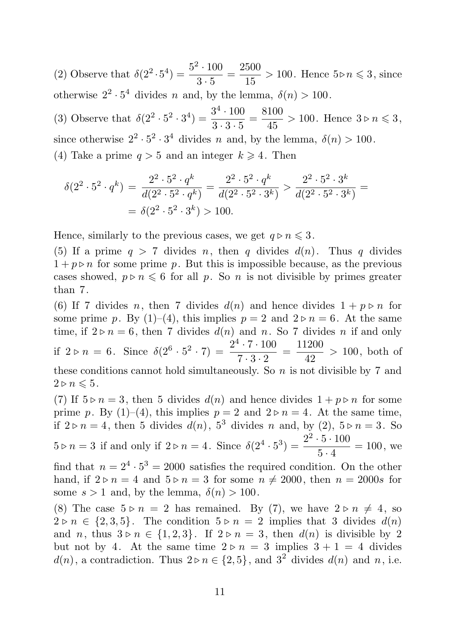(2) Observe that  $\delta(2^2 \cdot 5^4) = \frac{5^2 \cdot 100}{3 \cdot 5}$  $rac{2 \cdot 100}{3 \cdot 5} = \frac{2500}{15}$  $\frac{600}{15}$  > 100. Hence  $5 \triangleright n \leqslant 3$ , since otherwise  $2^2 \cdot 5^4$  divides *n* and, by the lemma,  $\delta(n) > 100$ .

(3) Observe that  $\delta(2^2 \cdot 5^2 \cdot 3^4) = \frac{3^4 \cdot 100}{3 \cdot 3 \cdot 5}$  $rac{3^4 \cdot 100}{3 \cdot 3 \cdot 5} = \frac{8100}{45}$  $\frac{100}{45} > 100$ . Hence  $3 \triangleright n \leq 3$ , since otherwise  $2^2 \cdot 5^2 \cdot 3^4$  divides n and, by the lemma,  $\delta(n) > 100$ . (4) Take a prime  $q > 5$  and an integer  $k \geq 4$ . Then

$$
\delta(2^2 \cdot 5^2 \cdot q^k) = \frac{2^2 \cdot 5^2 \cdot q^k}{d(2^2 \cdot 5^2 \cdot q^k)} = \frac{2^2 \cdot 5^2 \cdot q^k}{d(2^2 \cdot 5^2 \cdot 3^k)} > \frac{2^2 \cdot 5^2 \cdot 3^k}{d(2^2 \cdot 5^2 \cdot 3^k)} =
$$
  
=  $\delta(2^2 \cdot 5^2 \cdot 3^k) > 100.$ 

Hence, similarly to the previous cases, we get  $q \triangleright n \leq 3$ .

(5) If a prime  $q > 7$  divides n, then q divides  $d(n)$ . Thus q divides  $1 + p \triangleright n$  for some prime p. But this is impossible because, as the previous cases showed,  $p \triangleright n \leq 6$  for all p. So n is not divisible by primes greater than 7.

(6) If 7 divides n, then 7 divides  $d(n)$  and hence divides  $1 + p \triangleright n$  for some prime p. By  $(1)$ – $(4)$ , this implies  $p = 2$  and  $2 \triangleright n = 6$ . At the same time, if  $2 \triangleright n = 6$ , then 7 divides  $d(n)$  and n. So 7 divides n if and only if  $2 \triangleright n = 6$ . Since  $\delta(2^6 \cdot 5^2 \cdot 7) = \frac{2^4 \cdot 7 \cdot 100}{7 \cdot 3 \cdot 2}$  $\frac{1 \cdot 7 \cdot 100}{7 \cdot 3 \cdot 2} = \frac{11200}{42}$  $\frac{42}{42}$  > 100, both of these conditions cannot hold simultaneously. So  $n$  is not divisible by 7 and  $2 \triangleright n \leqslant 5$ .

(7) If  $5 \triangleright n = 3$ , then 5 divides  $d(n)$  and hence divides  $1 + p \triangleright n$  for some prime p. By (1)–(4), this implies  $p = 2$  and  $2 \triangleright n = 4$ . At the same time, if  $2 \triangleright n = 4$ , then 5 divides  $d(n)$ ,  $5^3$  divides n and, by (2),  $5 \triangleright n = 3$ . So  $5 \triangleright n = 3$  if and only if  $2 \triangleright n = 4$ . Since  $\delta(2^4 \cdot 5^3) = \frac{2^2 \cdot 5 \cdot 100}{5 \cdot 4}$  $\frac{3}{5 \cdot 4}$  = 100, we

find that  $n = 2^4 \cdot 5^3 = 2000$  satisfies the required condition. On the other hand, if  $2 \triangleright n = 4$  and  $5 \triangleright n = 3$  for some  $n \neq 2000$ , then  $n = 2000s$  for some  $s > 1$  and, by the lemma,  $\delta(n) > 100$ .

(8) The case  $5 \triangleright n = 2$  has remained. By (7), we have  $2 \triangleright n \neq 4$ , so  $2 \triangleright n \in \{2,3,5\}$ . The condition  $5 \triangleright n = 2$  implies that 3 divides  $d(n)$ and n, thus  $3 \triangleright n \in \{1,2,3\}$ . If  $2 \triangleright n = 3$ , then  $d(n)$  is divisible by 2 but not by 4. At the same time  $2 \triangleright n = 3$  implies  $3 + 1 = 4$  divides  $d(n)$ , a contradiction. Thus  $2 \triangleright n \in \{2, 5\}$ , and  $3^2$  divides  $d(n)$  and  $n$ , i.e.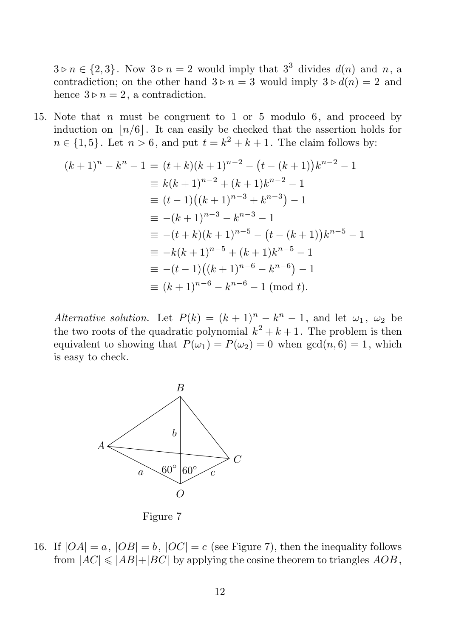$3 \triangleright n \in \{2, 3\}$ . Now  $3 \triangleright n = 2$  would imply that  $3^3$  divides  $d(n)$  and  $n$ , a contradiction; on the other hand  $3 \triangleright n = 3$  would imply  $3 \triangleright d(n) = 2$  and hence  $3 \triangleright n = 2$ , a contradiction.

15. Note that n must be congruent to 1 or 5 modulo 6, and proceed by induction on  $|n/6|$ . It can easily be checked that the assertion holds for  $n \in \{1, 5\}$ . Let  $n > 6$ , and put  $t = k^2 + k + 1$ . The claim follows by:

$$
(k+1)^n - k^n - 1 = (t+k)(k+1)^{n-2} - (t - (k+1))k^{n-2} - 1
$$
  
\n
$$
\equiv k(k+1)^{n-2} + (k+1)k^{n-2} - 1
$$
  
\n
$$
\equiv (t-1)((k+1)^{n-3} + k^{n-3}) - 1
$$
  
\n
$$
\equiv -(k+1)^{n-3} - k^{n-3} - 1
$$
  
\n
$$
\equiv -(t+k)(k+1)^{n-5} - (t - (k+1))k^{n-5} - 1
$$
  
\n
$$
\equiv -k(k+1)^{n-5} + (k+1)k^{n-5} - 1
$$
  
\n
$$
\equiv -(t-1)((k+1)^{n-6} - k^{n-6}) - 1
$$
  
\n
$$
\equiv (k+1)^{n-6} - k^{n-6} - 1 \pmod{t}.
$$

Alternative solution. Let  $P(k) = (k+1)^n - k^n - 1$ , and let  $\omega_1$ ,  $\omega_2$  be the two roots of the quadratic polynomial  $k^2 + k + 1$ . The problem is then equivalent to showing that  $P(\omega_1) = P(\omega_2) = 0$  when  $gcd(n, 6) = 1$ , which is easy to check.



Figure 7

16. If  $|OA| = a$ ,  $|OB| = b$ ,  $|OC| = c$  (see Figure 7), then the inequality follows from  $|AC| \leq |AB| + |BC|$  by applying the cosine theorem to triangles  $AOB$ ,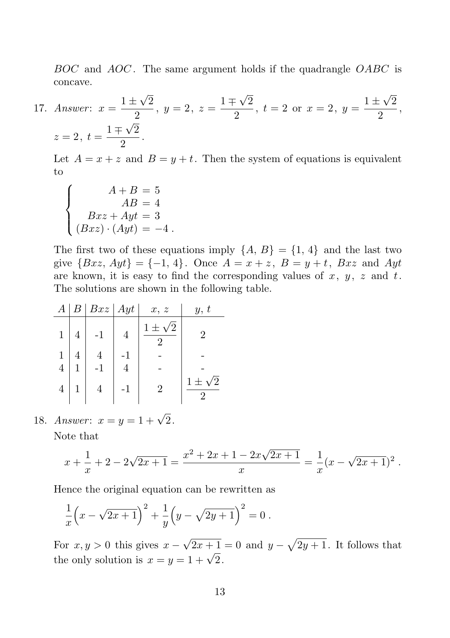BOC and AOC. The same argument holds if the quadrangle OABC is concave.

17. Answer:  $x = \frac{1 \pm \sqrt{2}}{2}$  $\frac{z\sqrt{2}}{2}$ ,  $y = 2$ ,  $z = \frac{1 \pm \sqrt{2}}{2}$  $\frac{z}{2}, t = 2 \text{ or } x = 2, y = \frac{1 \pm \sqrt{2}}{2}$  $\frac{1}{2}$ ,  $z=2, t=\frac{1\mp\sqrt{2}}{2}$  $\frac{1}{2}$ .

Let  $A = x + z$  and  $B = y + t$ . Then the system of equations is equivalent to

$$
\begin{cases}\nA+B=5\\ AB=4\\ Bxz+Ayt=3\\ (Bxz)\cdot(Ayt)=-4.\n\end{cases}
$$

The first two of these equations imply  $\{A, B\} = \{1, 4\}$  and the last two give  ${Bxz, Ayt} = {-1, 4}$ . Once  $A = x + z$ ,  $B = y + t$ , Bxz and Ayt are known, it is easy to find the corresponding values of  $x, y, z$  and  $t$ . The solutions are shown in the following table.

| $\boldsymbol{A}$ |   | $B \mid Bxz \mid Ayt$ | x, z | y, t |
|------------------|---|-----------------------|------|------|
| $\mathbf{1}$     | 4 | $-1$                  | 2    |      |
|                  |   |                       |      |      |
| 4                |   |                       |      |      |
| 4                |   |                       |      | 2    |

18. Answer:  $x = y = 1 + \sqrt{2}$ .

Note that

$$
x + \frac{1}{x} + 2 - 2\sqrt{2x + 1} = \frac{x^2 + 2x + 1 - 2x\sqrt{2x + 1}}{x} = \frac{1}{x}(x - \sqrt{2x + 1})^2.
$$

Hence the original equation can be rewritten as

$$
\frac{1}{x}\left(x-\sqrt{2x+1}\right)^2 + \frac{1}{y}\left(y-\sqrt{2y+1}\right)^2 = 0.
$$

For  $x, y > 0$  this gives  $x - \sqrt{2x + 1} = 0$  and  $y - \sqrt{2y + 1}$ . It follows that the only solution is  $x = y = 1 + \sqrt{2}$ .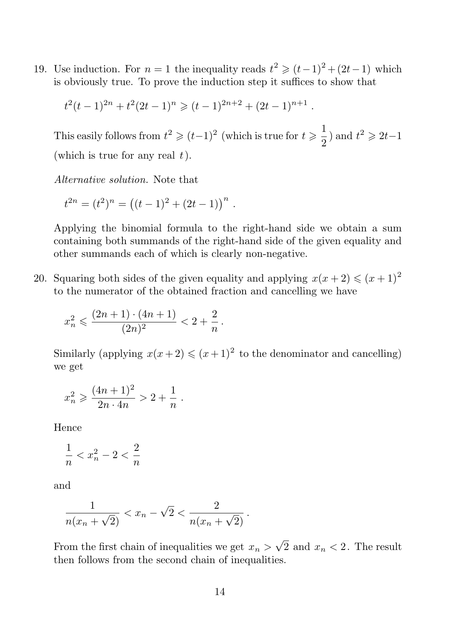19. Use induction. For  $n = 1$  the inequality reads  $t^2 \geq (t-1)^2 + (2t-1)$  which is obviously true. To prove the induction step it suffices to show that

$$
t^{2}(t-1)^{2n} + t^{2}(2t-1)^{n} \geq (t-1)^{2n+2} + (2t-1)^{n+1}.
$$

This easily follows from  $t^2 \geqslant (t-1)^2$  (which is true for  $t \geqslant \frac{1}{2}$ )  $\frac{1}{2}$ ) and  $t^2 \ge 2t-1$ (which is true for any real  $t$ ).

Alternative solution. Note that

$$
t^{2n} = (t^2)^n = ((t-1)^2 + (2t-1))^{n}.
$$

Applying the binomial formula to the right-hand side we obtain a sum containing both summands of the right-hand side of the given equality and other summands each of which is clearly non-negative.

20. Squaring both sides of the given equality and applying  $x(x + 2) \leq (x + 1)^2$ to the numerator of the obtained fraction and cancelling we have

$$
x_n^2 \leqslant \frac{(2n+1) \cdot (4n+1)}{(2n)^2} < 2 + \frac{2}{n} \, .
$$

Similarly (applying  $x(x+2) \leq (x+1)^2$  to the denominator and cancelling) we get

$$
x_n^2 \geqslant \frac{(4n+1)^2}{2n \cdot 4n} > 2 + \frac{1}{n} .
$$

Hence

$$
\frac{1}{n} < x_n^2 - 2 < \frac{2}{n}
$$

and

$$
\frac{1}{n(x_n + \sqrt{2})} < x_n - \sqrt{2} < \frac{2}{n(x_n + \sqrt{2})}.
$$

From the first chain of inequalities we get  $x_n > \sqrt{2}$  and  $x_n < 2$ . The result then follows from the second chain of inequalities.